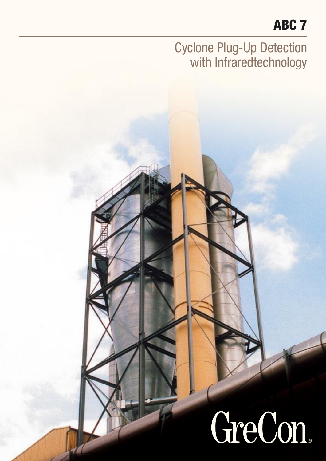## ABC<sub>7</sub>

### **Cyclone Plug-Up Detection** with Infraredtechnology

# GreCon